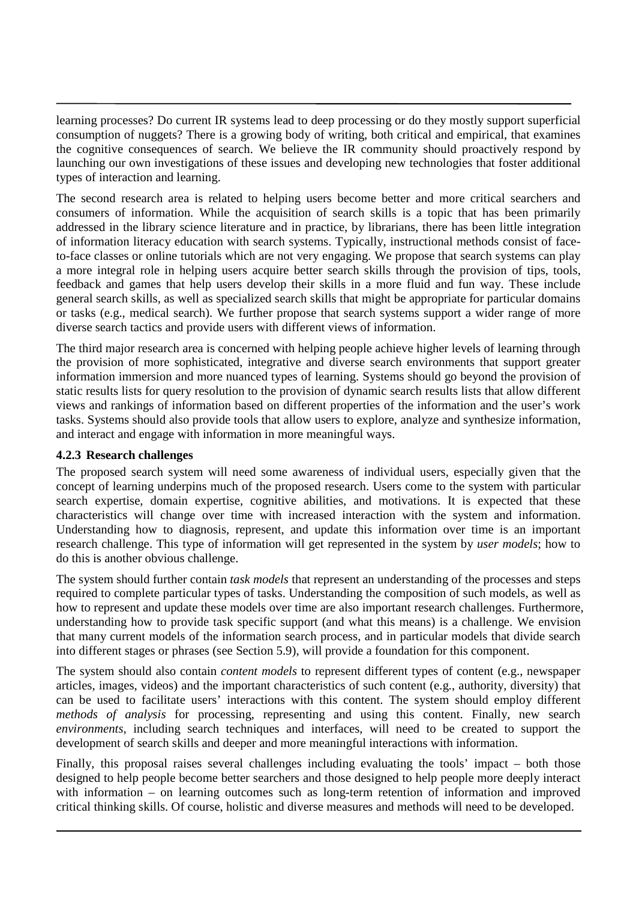learning processes? Do current IR systems lead to deep processing or do they mostly support superficial consumption of nuggets? There is a growing body of writing, both critical and empirical, that examines the cognitive consequences of search. We believe the IR community should proactively respond by launching our own investigations of these issues and developing new technologies that foster additional types of interaction and learning.

The second research area is related to helping users become better and more critical searchers and consumers of information. While the acquisition of search skills is a topic that has been primarily addressed in the library science literature and in practice, by librarians, there has been little integration of information literacy education with search systems. Typically, instructional methods consist of faceto-face classes or online tutorials which are not very engaging. We propose that search systems can play a more integral role in helping users acquire better search skills through the provision of tips, tools, feedback and games that help users develop their skills in a more fluid and fun way. These include general search skills, as well as specialized search skills that might be appropriate for particular domains or tasks (e.g., medical search). We further propose that search systems support a wider range of more diverse search tactics and provide users with different views of information.

The third major research area is concerned with helping people achieve higher levels of learning through the provision of more sophisticated, integrative and diverse search environments that support greater information immersion and more nuanced types of learning. Systems should go beyond the provision of static results lists for query resolution to the provision of dynamic search results lists that allow different views and rankings of information based on different properties of the information and the user's work tasks. Systems should also provide tools that allow users to explore, analyze and synthesize information, and interact and engage with information in more meaningful ways.

# **4.2.3 Research challenges**

The proposed search system will need some awareness of individual users, especially given that the concept of learning underpins much of the proposed research. Users come to the system with particular search expertise, domain expertise, cognitive abilities, and motivations. It is expected that these characteristics will change over time with increased interaction with the system and information. Understanding how to diagnosis, represent, and update this information over time is an important research challenge. This type of information will get represented in the system by *user models*; how to do this is another obvious challenge.

The system should further contain *task models* that represent an understanding of the processes and steps required to complete particular types of tasks. Understanding the composition of such models, as well as how to represent and update these models over time are also important research challenges. Furthermore, understanding how to provide task specific support (and what this means) is a challenge. We envision that many current models of the information search process, and in particular models that divide search into different stages or phrases (see Section 5.9), will provide a foundation for this component.

The system should also contain *content models* to represent different types of content (e.g., newspaper articles, images, videos) and the important characteristics of such content (e.g., authority, diversity) that can be used to facilitate users' interactions with this content. The system should employ different *methods of analysis* for processing, representing and using this content. Finally, new search *environments*, including search techniques and interfaces, will need to be created to support the development of search skills and deeper and more meaningful interactions with information.

Finally, this proposal raises several challenges including evaluating the tools' impact – both those designed to help people become better searchers and those designed to help people more deeply interact with information – on learning outcomes such as long-term retention of information and improved critical thinking skills. Of course, holistic and diverse measures and methods will need to be developed.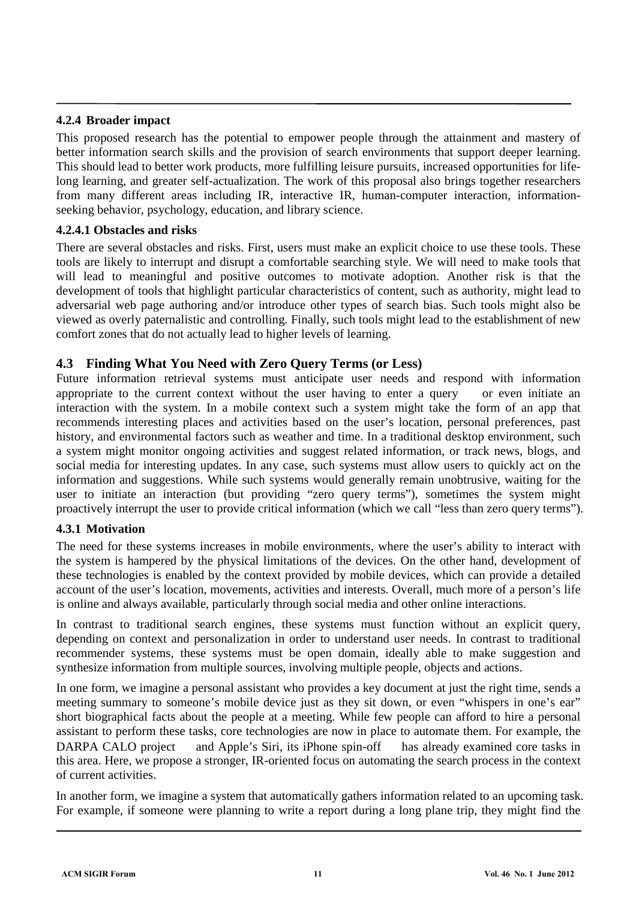# **4.2.4 Broader impact**

This proposed research has the potential to empower people through the attainment and mastery of better information search skills and the provision of search environments that support deeper learning. This should lead to better work products, more fulfilling leisure pursuits, increased opportunities for lifelong learning, and greater self-actualization. The work of this proposal also brings together researchers from many different areas including IR, interactive IR, human-computer interaction, informationseeking behavior, psychology, education, and library science.

#### **4.2.4.1 Obstacles and risks**

There are several obstacles and risks. First, users must make an explicit choice to use these tools. These tools are likely to interrupt and disrupt a comfortable searching style. We will need to make tools that will lead to meaningful and positive outcomes to motivate adoption. Another risk is that the development of tools that highlight particular characteristics of content, such as authority, might lead to adversarial web page authoring and/or introduce other types of search bias. Such tools might also be viewed as overly paternalistic and controlling. Finally, such tools might lead to the establishment of new comfort zones that do not actually lead to higher levels of learning.

# **4.3 Finding What You Need with Zero Query Terms (or Less)**

Future information retrieval systems must anticipate user needs and respond with information appropriate to the current context without the user having to enter a query  $\overline{\phantom{a}}$  or even initiate an interaction with the system. In a mobile context such a system might take the form of an app that recommends interesting places and activities based on the user's location, personal preferences, past history, and environmental factors such as weather and time. In a traditional desktop environment, such a system might monitor ongoing activities and suggest related information, or track news, blogs, and social media for interesting updates. In any case, such systems must allow users to quickly act on the information and suggestions. While such systems would generally remain unobtrusive, waiting for the user to initiate an interaction (but providing "zero query terms"), sometimes the system might proactively interrupt the user to provide critical information (which we call "less than zero query terms").

# **4.3.1 Motivation**

The need for these systems increases in mobile environments, where the user's ability to interact with the system is hampered by the physical limitations of the devices. On the other hand, development of these technologies is enabled by the context provided by mobile devices, which can provide a detailed account of the user's location, movements, activities and interests. Overall, much more of a person's life is online and always available, particularly through social media and other online interactions.

In contrast to traditional search engines, these systems must function without an explicit query, depending on context and personalization in order to understand user needs. In contrast to traditional recommender systems, these systems must be open domain, ideally able to make suggestion and synthesize information from multiple sources, involving multiple people, objects and actions.

In one form, we imagine a personal assistant who provides a key document at just the right time, sends a meeting summary to someone's mobile device just as they sit down, or even "whispers in one's ear" short biographical facts about the people at a meeting. While few people can afford to hire a personal assistant to perform these tasks, core technologies are now in place to automate them. For example, the DARPA CALO project — and Apple's Siri, its iPhone spin-off — has already examined core tasks in this area. Here, we propose a stronger, IR-oriented focus on automating the search process in the context of current activities.

In another form, we imagine a system that automatically gathers information related to an upcoming task. For example, if someone were planning to write a report during a long plane trip, they might find the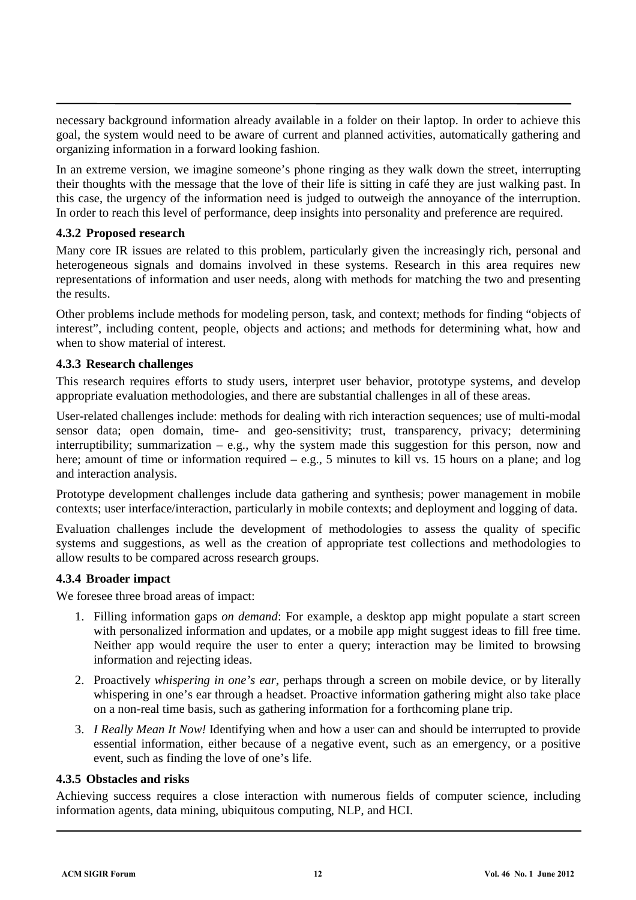necessary background information already available in a folder on their laptop. In order to achieve this goal, the system would need to be aware of current and planned activities, automatically gathering and organizing information in a forward looking fashion.

In an extreme version, we imagine someone's phone ringing as they walk down the street, interrupting their thoughts with the message that the love of their life is sitting in café they are just walking past. In this case, the urgency of the information need is judged to outweigh the annoyance of the interruption. In order to reach this level of performance, deep insights into personality and preference are required.

### **4.3.2 Proposed research**

Many core IR issues are related to this problem, particularly given the increasingly rich, personal and heterogeneous signals and domains involved in these systems. Research in this area requires new representations of information and user needs, along with methods for matching the two and presenting the results.

Other problems include methods for modeling person, task, and context; methods for finding "objects of interest", including content, people, objects and actions; and methods for determining what, how and when to show material of interest.

### **4.3.3 Research challenges**

This research requires efforts to study users, interpret user behavior, prototype systems, and develop appropriate evaluation methodologies, and there are substantial challenges in all of these areas.

User-related challenges include: methods for dealing with rich interaction sequences; use of multi-modal sensor data; open domain, time- and geo-sensitivity; trust, transparency, privacy; determining interruptibility; summarization – e.g., why the system made this suggestion for this person, now and here; amount of time or information required – e.g., 5 minutes to kill vs. 15 hours on a plane; and log and interaction analysis.

Prototype development challenges include data gathering and synthesis; power management in mobile contexts; user interface/interaction, particularly in mobile contexts; and deployment and logging of data.

Evaluation challenges include the development of methodologies to assess the quality of specific systems and suggestions, as well as the creation of appropriate test collections and methodologies to allow results to be compared across research groups.

#### **4.3.4 Broader impact**

We foresee three broad areas of impact:

- 1. Filling information gaps *on demand*: For example, a desktop app might populate a start screen with personalized information and updates, or a mobile app might suggest ideas to fill free time. Neither app would require the user to enter a query; interaction may be limited to browsing information and rejecting ideas.
- 2. Proactively *whispering in one's ear*, perhaps through a screen on mobile device, or by literally whispering in one's ear through a headset. Proactive information gathering might also take place on a non-real time basis, such as gathering information for a forthcoming plane trip.
- 3. *I Really Mean It Now!* Identifying when and how a user can and should be interrupted to provide essential information, either because of a negative event, such as an emergency, or a positive event, such as finding the love of one's life.

#### **4.3.5 Obstacles and risks**

Achieving success requires a close interaction with numerous fields of computer science, including information agents, data mining, ubiquitous computing, NLP, and HCI.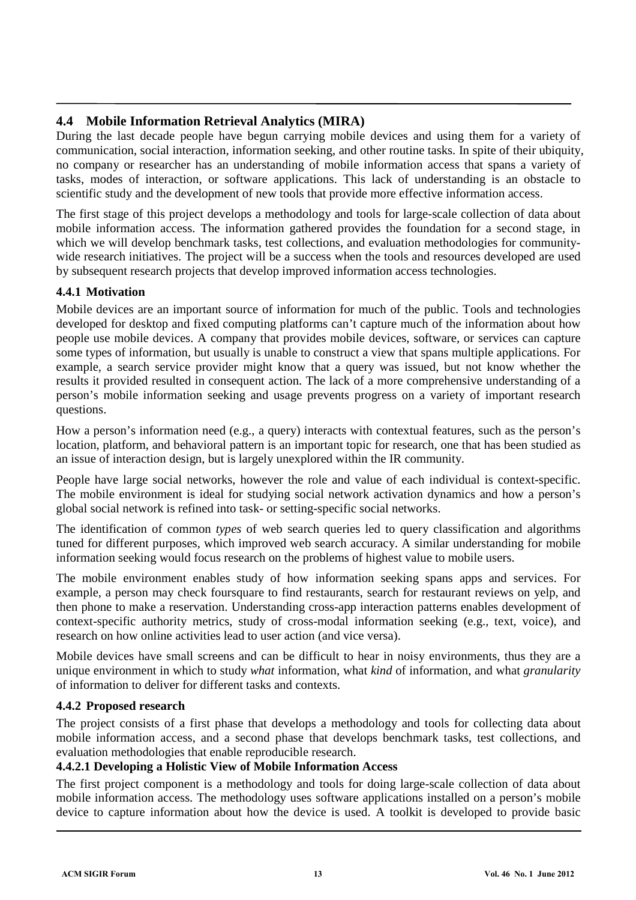# **4.4 Mobile Information Retrieval Analytics (MIRA)**

During the last decade people have begun carrying mobile devices and using them for a variety of communication, social interaction, information seeking, and other routine tasks. In spite of their ubiquity, no company or researcher has an understanding of mobile information access that spans a variety of tasks, modes of interaction, or software applications. This lack of understanding is an obstacle to scientific study and the development of new tools that provide more effective information access.

The first stage of this project develops a methodology and tools for large-scale collection of data about mobile information access. The information gathered provides the foundation for a second stage, in which we will develop benchmark tasks, test collections, and evaluation methodologies for communitywide research initiatives. The project will be a success when the tools and resources developed are used by subsequent research projects that develop improved information access technologies.

# **4.4.1 Motivation**

Mobile devices are an important source of information for much of the public. Tools and technologies developed for desktop and fixed computing platforms can't capture much of the information about how people use mobile devices. A company that provides mobile devices, software, or services can capture some types of information, but usually is unable to construct a view that spans multiple applications. For example, a search service provider might know that a query was issued, but not know whether the results it provided resulted in consequent action. The lack of a more comprehensive understanding of a person's mobile information seeking and usage prevents progress on a variety of important research questions.

How a person's information need (e.g., a query) interacts with contextual features, such as the person's location, platform, and behavioral pattern is an important topic for research, one that has been studied as an issue of interaction design, but is largely unexplored within the IR community.

People have large social networks, however the role and value of each individual is context-specific. The mobile environment is ideal for studying social network activation dynamics and how a person's global social network is refined into task- or setting-specific social networks.

The identification of common *types* of web search queries led to query classification and algorithms tuned for different purposes, which improved web search accuracy. A similar understanding for mobile information seeking would focus research on the problems of highest value to mobile users.

The mobile environment enables study of how information seeking spans apps and services. For example, a person may check foursquare to find restaurants, search for restaurant reviews on yelp, and then phone to make a reservation. Understanding cross-app interaction patterns enables development of context-specific authority metrics, study of cross-modal information seeking (e.g., text, voice), and research on how online activities lead to user action (and vice versa).

Mobile devices have small screens and can be difficult to hear in noisy environments, thus they are a unique environment in which to study *what* information, what *kind* of information, and what *granularity* of information to deliver for different tasks and contexts.

#### **4.4.2 Proposed research**

The project consists of a first phase that develops a methodology and tools for collecting data about mobile information access, and a second phase that develops benchmark tasks, test collections, and evaluation methodologies that enable reproducible research.

# **4.4.2.1 Developing a Holistic View of Mobile Information Access**

The first project component is a methodology and tools for doing large-scale collection of data about mobile information access. The methodology uses software applications installed on a person's mobile device to capture information about how the device is used. A toolkit is developed to provide basic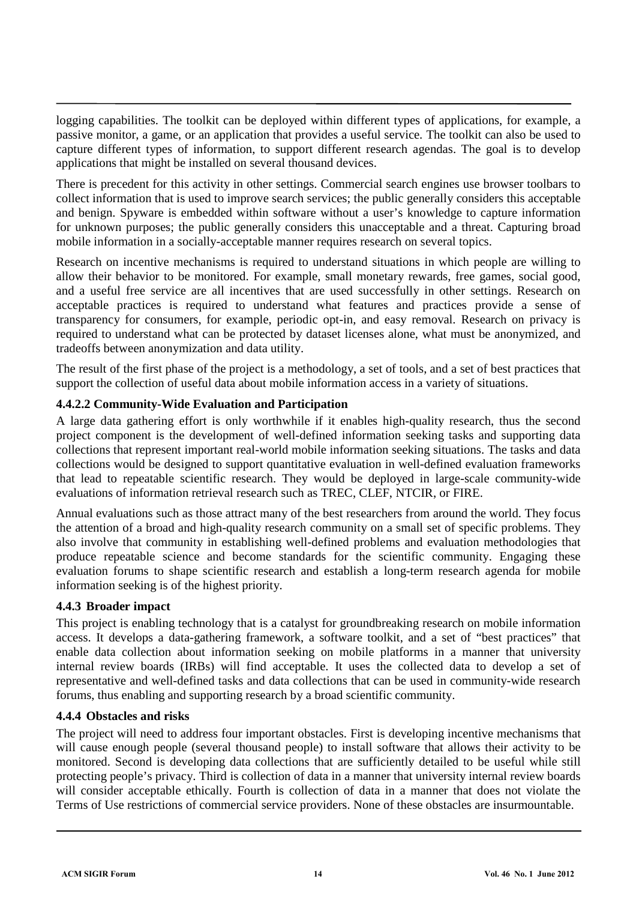logging capabilities. The toolkit can be deployed within different types of applications, for example, a passive monitor, a game, or an application that provides a useful service. The toolkit can also be used to capture different types of information, to support different research agendas. The goal is to develop applications that might be installed on several thousand devices.

There is precedent for this activity in other settings. Commercial search engines use browser toolbars to collect information that is used to improve search services; the public generally considers this acceptable and benign. Spyware is embedded within software without a user's knowledge to capture information for unknown purposes; the public generally considers this unacceptable and a threat. Capturing broad mobile information in a socially-acceptable manner requires research on several topics.

Research on incentive mechanisms is required to understand situations in which people are willing to allow their behavior to be monitored. For example, small monetary rewards, free games, social good, and a useful free service are all incentives that are used successfully in other settings. Research on acceptable practices is required to understand what features and practices provide a sense of transparency for consumers, for example, periodic opt-in, and easy removal. Research on privacy is required to understand what can be protected by dataset licenses alone, what must be anonymized, and tradeoffs between anonymization and data utility.

The result of the first phase of the project is a methodology, a set of tools, and a set of best practices that support the collection of useful data about mobile information access in a variety of situations.

# **4.4.2.2 Community-Wide Evaluation and Participation**

A large data gathering effort is only worthwhile if it enables high-quality research, thus the second project component is the development of well-defined information seeking tasks and supporting data collections that represent important real-world mobile information seeking situations. The tasks and data collections would be designed to support quantitative evaluation in well-defined evaluation frameworks that lead to repeatable scientific research. They would be deployed in large-scale community-wide evaluations of information retrieval research such as TREC, CLEF, NTCIR, or FIRE.

Annual evaluations such as those attract many of the best researchers from around the world. They focus the attention of a broad and high-quality research community on a small set of specific problems. They also involve that community in establishing well-defined problems and evaluation methodologies that produce repeatable science and become standards for the scientific community. Engaging these evaluation forums to shape scientific research and establish a long-term research agenda for mobile information seeking is of the highest priority.

# **4.4.3 Broader impact**

This project is enabling technology that is a catalyst for groundbreaking research on mobile information access. It develops a data-gathering framework, a software toolkit, and a set of "best practices" that enable data collection about information seeking on mobile platforms in a manner that university internal review boards (IRBs) will find acceptable. It uses the collected data to develop a set of representative and well-defined tasks and data collections that can be used in community-wide research forums, thus enabling and supporting research by a broad scientific community.

# **4.4.4 Obstacles and risks**

The project will need to address four important obstacles. First is developing incentive mechanisms that will cause enough people (several thousand people) to install software that allows their activity to be monitored. Second is developing data collections that are sufficiently detailed to be useful while still protecting people's privacy. Third is collection of data in a manner that university internal review boards will consider acceptable ethically. Fourth is collection of data in a manner that does not violate the Terms of Use restrictions of commercial service providers. None of these obstacles are insurmountable.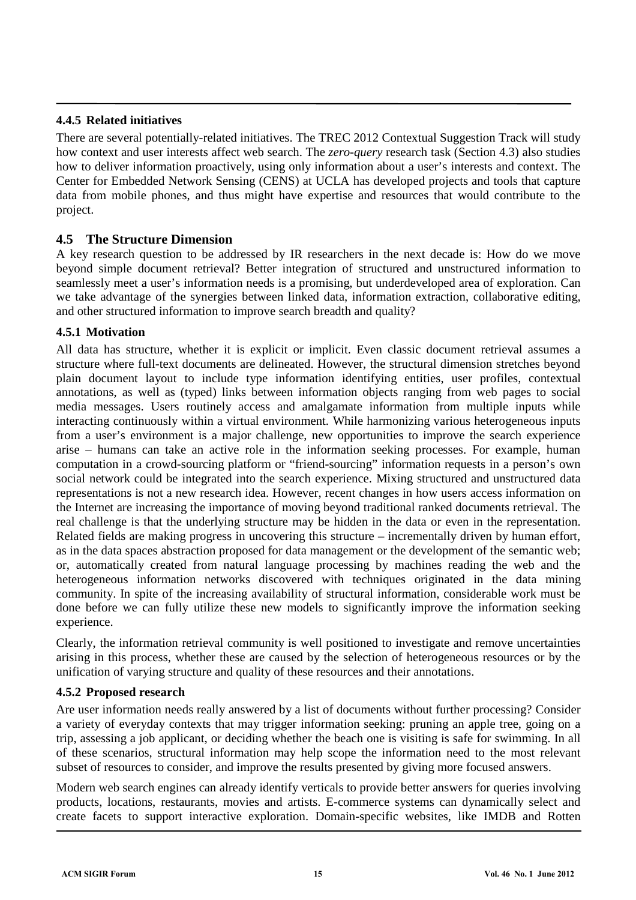# **4.4.5 Related initiatives**

There are several potentially-related initiatives. The TREC 2012 Contextual Suggestion Track will study how context and user interests affect web search. The *zero-query* research task (Section 4.3) also studies how to deliver information proactively, using only information about a user's interests and context. The Center for Embedded Network Sensing (CENS) at UCLA has developed projects and tools that capture data from mobile phones, and thus might have expertise and resources that would contribute to the project.

# **4.5 The Structure Dimension**

A key research question to be addressed by IR researchers in the next decade is: How do we move beyond simple document retrieval? Better integration of structured and unstructured information to seamlessly meet a user's information needs is a promising, but underdeveloped area of exploration. Can we take advantage of the synergies between linked data, information extraction, collaborative editing, and other structured information to improve search breadth and quality?

### **4.5.1 Motivation**

All data has structure, whether it is explicit or implicit. Even classic document retrieval assumes a structure where full-text documents are delineated. However, the structural dimension stretches beyond plain document layout to include type information identifying entities, user profiles, contextual annotations, as well as (typed) links between information objects ranging from web pages to social media messages. Users routinely access and amalgamate information from multiple inputs while interacting continuously within a virtual environment. While harmonizing various heterogeneous inputs from a user's environment is a major challenge, new opportunities to improve the search experience arise – humans can take an active role in the information seeking processes. For example, human computation in a crowd-sourcing platform or "friend-sourcing" information requests in a person's own social network could be integrated into the search experience. Mixing structured and unstructured data representations is not a new research idea. However, recent changes in how users access information on the Internet are increasing the importance of moving beyond traditional ranked documents retrieval. The real challenge is that the underlying structure may be hidden in the data or even in the representation. Related fields are making progress in uncovering this structure – incrementally driven by human effort, as in the data spaces abstraction proposed for data management or the development of the semantic web; or, automatically created from natural language processing by machines reading the web and the heterogeneous information networks discovered with techniques originated in the data mining community. In spite of the increasing availability of structural information, considerable work must be done before we can fully utilize these new models to significantly improve the information seeking experience.

Clearly, the information retrieval community is well positioned to investigate and remove uncertainties arising in this process, whether these are caused by the selection of heterogeneous resources or by the unification of varying structure and quality of these resources and their annotations.

# **4.5.2 Proposed research**

Are user information needs really answered by a list of documents without further processing? Consider a variety of everyday contexts that may trigger information seeking: pruning an apple tree, going on a trip, assessing a job applicant, or deciding whether the beach one is visiting is safe for swimming. In all of these scenarios, structural information may help scope the information need to the most relevant subset of resources to consider, and improve the results presented by giving more focused answers.

Modern web search engines can already identify verticals to provide better answers for queries involving products, locations, restaurants, movies and artists. E-commerce systems can dynamically select and create facets to support interactive exploration. Domain-specific websites, like IMDB and Rotten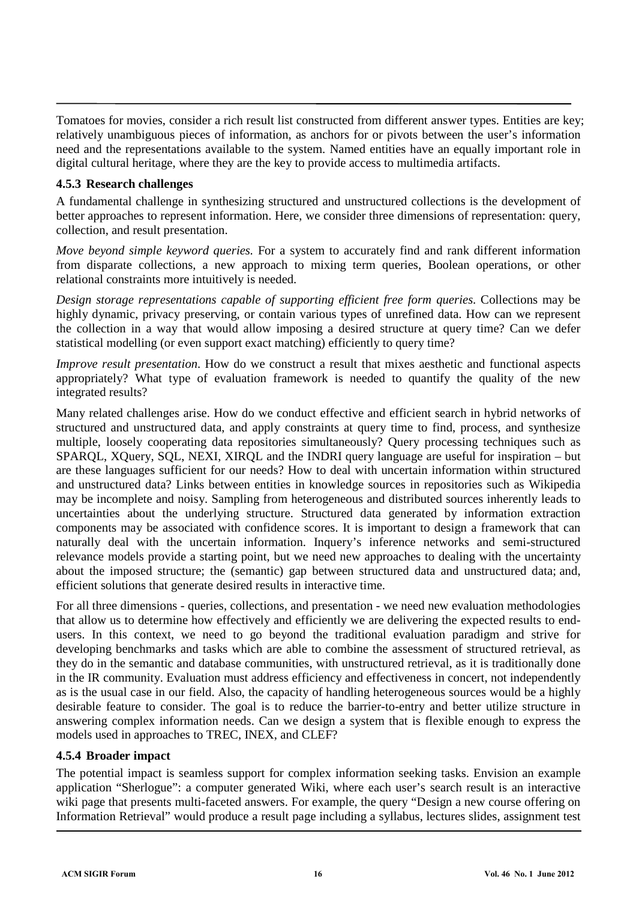Tomatoes for movies, consider a rich result list constructed from different answer types. Entities are key; relatively unambiguous pieces of information, as anchors for or pivots between the user's information need and the representations available to the system. Named entities have an equally important role in digital cultural heritage, where they are the key to provide access to multimedia artifacts.

## **4.5.3 Research challenges**

A fundamental challenge in synthesizing structured and unstructured collections is the development of better approaches to represent information. Here, we consider three dimensions of representation: query, collection, and result presentation.

*Move beyond simple keyword queries.* For a system to accurately find and rank different information from disparate collections, a new approach to mixing term queries, Boolean operations, or other relational constraints more intuitively is needed.

*Design storage representations capable of supporting efficient free form queries*. Collections may be highly dynamic, privacy preserving, or contain various types of unrefined data. How can we represent the collection in a way that would allow imposing a desired structure at query time? Can we defer statistical modelling (or even support exact matching) efficiently to query time?

*Improve result presentation*. How do we construct a result that mixes aesthetic and functional aspects appropriately? What type of evaluation framework is needed to quantify the quality of the new integrated results?

Many related challenges arise. How do we conduct effective and efficient search in hybrid networks of structured and unstructured data, and apply constraints at query time to find, process, and synthesize multiple, loosely cooperating data repositories simultaneously? Query processing techniques such as SPARQL, XQuery, SQL, NEXI, XIRQL and the INDRI query language are useful for inspiration – but are these languages sufficient for our needs? How to deal with uncertain information within structured and unstructured data? Links between entities in knowledge sources in repositories such as Wikipedia may be incomplete and noisy. Sampling from heterogeneous and distributed sources inherently leads to uncertainties about the underlying structure. Structured data generated by information extraction components may be associated with confidence scores. It is important to design a framework that can naturally deal with the uncertain information. Inquery's inference networks and semi-structured relevance models provide a starting point, but we need new approaches to dealing with the uncertainty about the imposed structure; the (semantic) gap between structured data and unstructured data; and, efficient solutions that generate desired results in interactive time.

For all three dimensions - queries, collections, and presentation - we need new evaluation methodologies that allow us to determine how effectively and efficiently we are delivering the expected results to endusers. In this context, we need to go beyond the traditional evaluation paradigm and strive for developing benchmarks and tasks which are able to combine the assessment of structured retrieval, as they do in the semantic and database communities, with unstructured retrieval, as it is traditionally done in the IR community. Evaluation must address efficiency and effectiveness in concert, not independently as is the usual case in our field. Also, the capacity of handling heterogeneous sources would be a highly desirable feature to consider. The goal is to reduce the barrier-to-entry and better utilize structure in answering complex information needs. Can we design a system that is flexible enough to express the models used in approaches to TREC, INEX, and CLEF?

#### **4.5.4 Broader impact**

The potential impact is seamless support for complex information seeking tasks. Envision an example application "Sherlogue": a computer generated Wiki, where each user's search result is an interactive wiki page that presents multi-faceted answers. For example, the query "Design a new course offering on Information Retrieval" would produce a result page including a syllabus, lectures slides, assignment test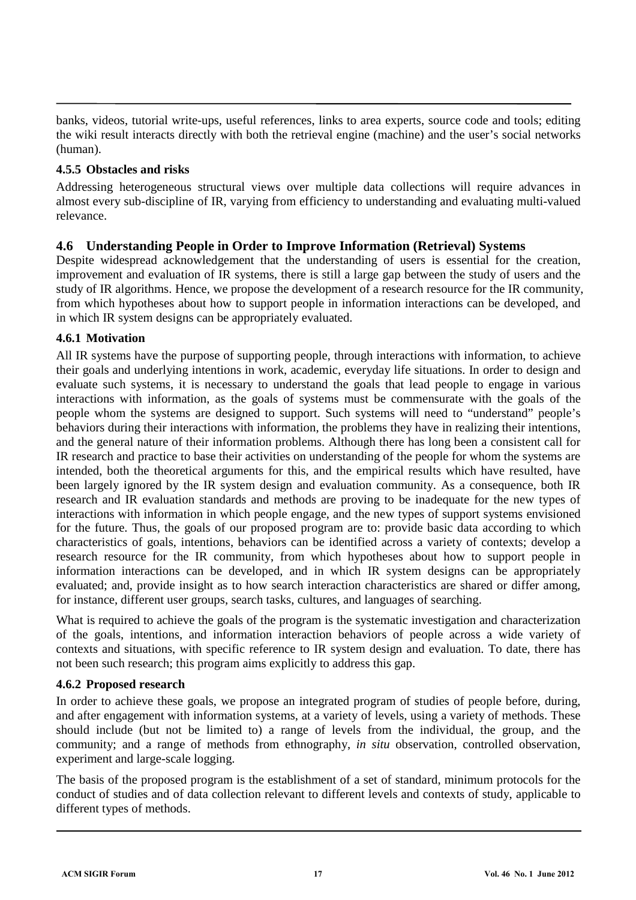banks, videos, tutorial write-ups, useful references, links to area experts, source code and tools; editing the wiki result interacts directly with both the retrieval engine (machine) and the user's social networks (human).

# **4.5.5 Obstacles and risks**

Addressing heterogeneous structural views over multiple data collections will require advances in almost every sub-discipline of IR, varying from efficiency to understanding and evaluating multi-valued relevance.

# **4.6 Understanding People in Order to Improve Information (Retrieval) Systems**

Despite widespread acknowledgement that the understanding of users is essential for the creation, improvement and evaluation of IR systems, there is still a large gap between the study of users and the study of IR algorithms. Hence, we propose the development of a research resource for the IR community, from which hypotheses about how to support people in information interactions can be developed, and in which IR system designs can be appropriately evaluated.

### **4.6.1 Motivation**

All IR systems have the purpose of supporting people, through interactions with information, to achieve their goals and underlying intentions in work, academic, everyday life situations. In order to design and evaluate such systems, it is necessary to understand the goals that lead people to engage in various interactions with information, as the goals of systems must be commensurate with the goals of the people whom the systems are designed to support. Such systems will need to "understand" people's behaviors during their interactions with information, the problems they have in realizing their intentions, and the general nature of their information problems. Although there has long been a consistent call for IR research and practice to base their activities on understanding of the people for whom the systems are intended, both the theoretical arguments for this, and the empirical results which have resulted, have been largely ignored by the IR system design and evaluation community. As a consequence, both IR research and IR evaluation standards and methods are proving to be inadequate for the new types of interactions with information in which people engage, and the new types of support systems envisioned for the future. Thus, the goals of our proposed program are to: provide basic data according to which characteristics of goals, intentions, behaviors can be identified across a variety of contexts; develop a research resource for the IR community, from which hypotheses about how to support people in information interactions can be developed, and in which IR system designs can be appropriately evaluated; and, provide insight as to how search interaction characteristics are shared or differ among, for instance, different user groups, search tasks, cultures, and languages of searching.

What is required to achieve the goals of the program is the systematic investigation and characterization of the goals, intentions, and information interaction behaviors of people across a wide variety of contexts and situations, with specific reference to IR system design and evaluation. To date, there has not been such research; this program aims explicitly to address this gap.

#### **4.6.2 Proposed research**

In order to achieve these goals, we propose an integrated program of studies of people before, during, and after engagement with information systems, at a variety of levels, using a variety of methods. These should include (but not be limited to) a range of levels from the individual, the group, and the community; and a range of methods from ethnography, *in situ* observation, controlled observation, experiment and large-scale logging.

The basis of the proposed program is the establishment of a set of standard, minimum protocols for the conduct of studies and of data collection relevant to different levels and contexts of study, applicable to different types of methods.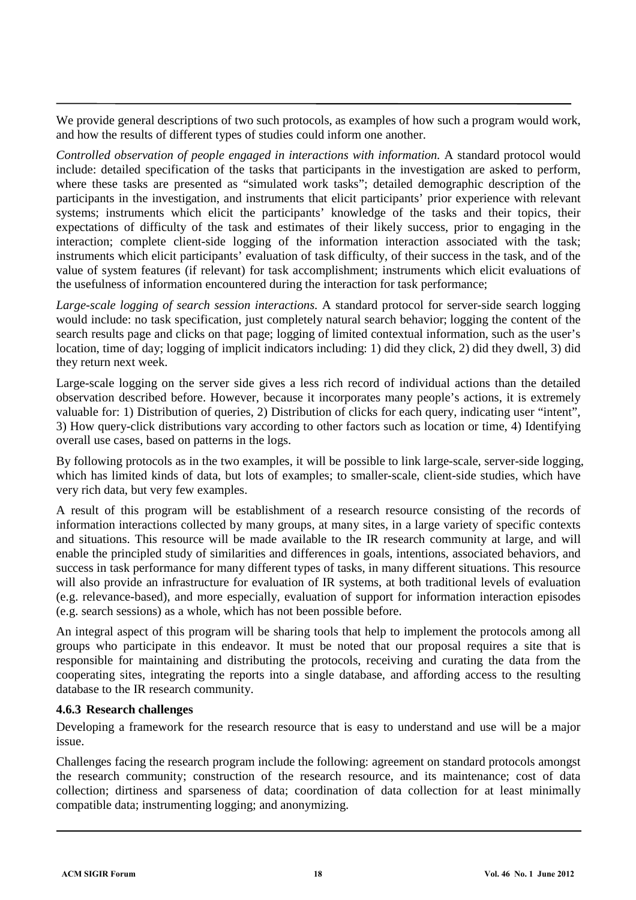We provide general descriptions of two such protocols, as examples of how such a program would work, and how the results of different types of studies could inform one another.

*Controlled observation of people engaged in interactions with information.* A standard protocol would include: detailed specification of the tasks that participants in the investigation are asked to perform, where these tasks are presented as "simulated work tasks"; detailed demographic description of the participants in the investigation, and instruments that elicit participants' prior experience with relevant systems; instruments which elicit the participants' knowledge of the tasks and their topics, their expectations of difficulty of the task and estimates of their likely success, prior to engaging in the interaction; complete client-side logging of the information interaction associated with the task; instruments which elicit participants' evaluation of task difficulty, of their success in the task, and of the value of system features (if relevant) for task accomplishment; instruments which elicit evaluations of the usefulness of information encountered during the interaction for task performance;

*Large-scale logging of search session interactions.* A standard protocol for server-side search logging would include: no task specification, just completely natural search behavior; logging the content of the search results page and clicks on that page; logging of limited contextual information, such as the user's location, time of day; logging of implicit indicators including: 1) did they click, 2) did they dwell, 3) did they return next week.

Large-scale logging on the server side gives a less rich record of individual actions than the detailed observation described before. However, because it incorporates many people's actions, it is extremely valuable for: 1) Distribution of queries, 2) Distribution of clicks for each query, indicating user "intent", 3) How query-click distributions vary according to other factors such as location or time, 4) Identifying overall use cases, based on patterns in the logs.

By following protocols as in the two examples, it will be possible to link large-scale, server-side logging, which has limited kinds of data, but lots of examples; to smaller-scale, client-side studies, which have very rich data, but very few examples.

A result of this program will be establishment of a research resource consisting of the records of information interactions collected by many groups, at many sites, in a large variety of specific contexts and situations. This resource will be made available to the IR research community at large, and will enable the principled study of similarities and differences in goals, intentions, associated behaviors, and success in task performance for many different types of tasks, in many different situations. This resource will also provide an infrastructure for evaluation of IR systems, at both traditional levels of evaluation (e.g. relevance-based), and more especially, evaluation of support for information interaction episodes (e.g. search sessions) as a whole, which has not been possible before.

An integral aspect of this program will be sharing tools that help to implement the protocols among all groups who participate in this endeavor. It must be noted that our proposal requires a site that is responsible for maintaining and distributing the protocols, receiving and curating the data from the cooperating sites, integrating the reports into a single database, and affording access to the resulting database to the IR research community.

#### **4.6.3 Research challenges**

Developing a framework for the research resource that is easy to understand and use will be a major issue.

Challenges facing the research program include the following: agreement on standard protocols amongst the research community; construction of the research resource, and its maintenance; cost of data collection; dirtiness and sparseness of data; coordination of data collection for at least minimally compatible data; instrumenting logging; and anonymizing.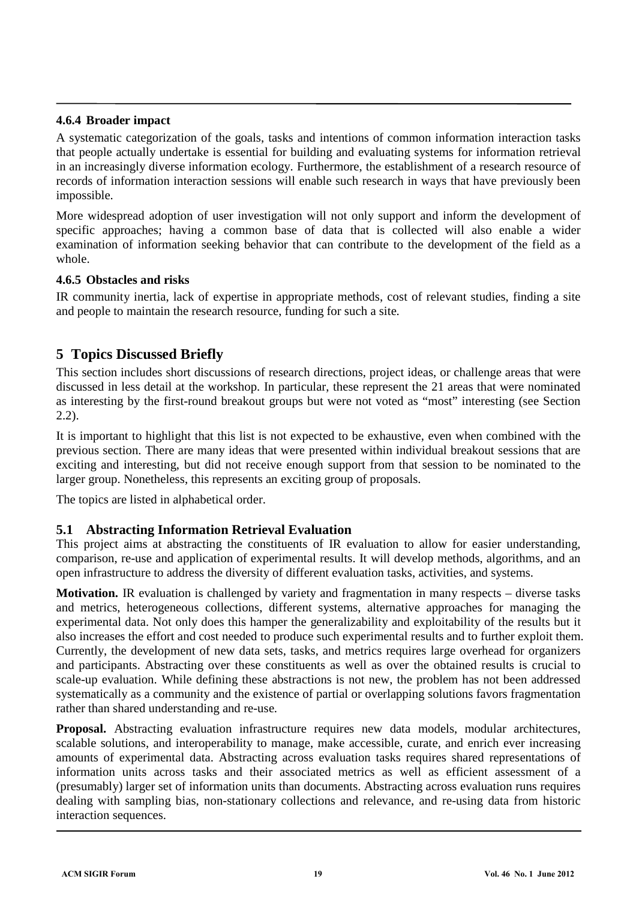## **4.6.4 Broader impact**

A systematic categorization of the goals, tasks and intentions of common information interaction tasks that people actually undertake is essential for building and evaluating systems for information retrieval in an increasingly diverse information ecology. Furthermore, the establishment of a research resource of records of information interaction sessions will enable such research in ways that have previously been impossible.

More widespread adoption of user investigation will not only support and inform the development of specific approaches; having a common base of data that is collected will also enable a wider examination of information seeking behavior that can contribute to the development of the field as a whole.

#### **4.6.5 Obstacles and risks**

IR community inertia, lack of expertise in appropriate methods, cost of relevant studies, finding a site and people to maintain the research resource, funding for such a site.

# **5 Topics Discussed Briefly**

This section includes short discussions of research directions, project ideas, or challenge areas that were discussed in less detail at the workshop. In particular, these represent the 21 areas that were nominated as interesting by the first-round breakout groups but were not voted as "most" interesting (see Section 2.2).

It is important to highlight that this list is not expected to be exhaustive, even when combined with the previous section. There are many ideas that were presented within individual breakout sessions that are exciting and interesting, but did not receive enough support from that session to be nominated to the larger group. Nonetheless, this represents an exciting group of proposals.

The topics are listed in alphabetical order.

# **5.1 Abstracting Information Retrieval Evaluation**

This project aims at abstracting the constituents of IR evaluation to allow for easier understanding, comparison, re-use and application of experimental results. It will develop methods, algorithms, and an open infrastructure to address the diversity of different evaluation tasks, activities, and systems.

**Motivation.** IR evaluation is challenged by variety and fragmentation in many respects – diverse tasks and metrics, heterogeneous collections, different systems, alternative approaches for managing the experimental data. Not only does this hamper the generalizability and exploitability of the results but it also increases the effort and cost needed to produce such experimental results and to further exploit them. Currently, the development of new data sets, tasks, and metrics requires large overhead for organizers and participants. Abstracting over these constituents as well as over the obtained results is crucial to scale-up evaluation. While defining these abstractions is not new, the problem has not been addressed systematically as a community and the existence of partial or overlapping solutions favors fragmentation rather than shared understanding and re-use.

**Proposal.** Abstracting evaluation infrastructure requires new data models, modular architectures, scalable solutions, and interoperability to manage, make accessible, curate, and enrich ever increasing amounts of experimental data. Abstracting across evaluation tasks requires shared representations of information units across tasks and their associated metrics as well as efficient assessment of a (presumably) larger set of information units than documents. Abstracting across evaluation runs requires dealing with sampling bias, non-stationary collections and relevance, and re-using data from historic interaction sequences.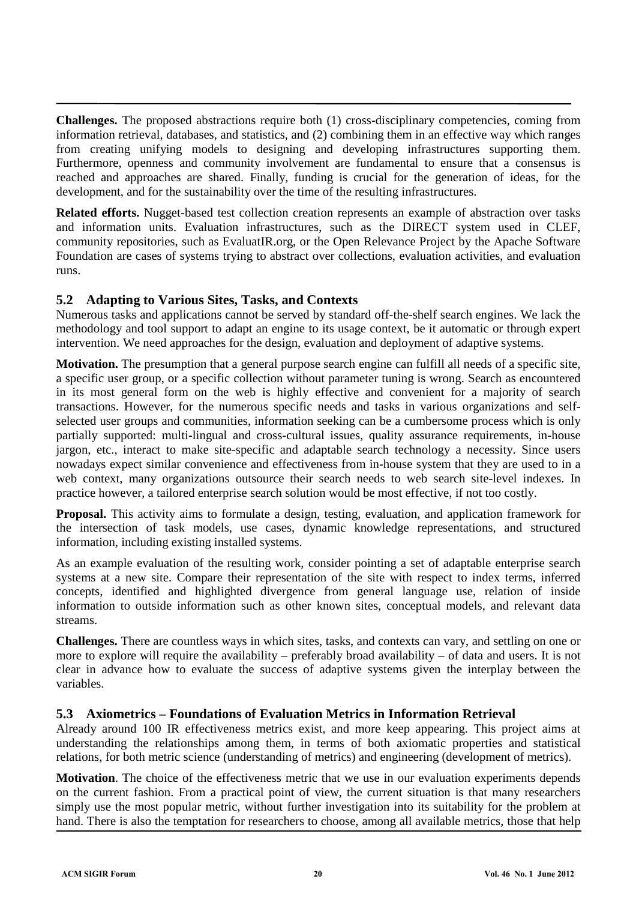**Challenges.** The proposed abstractions require both (1) cross-disciplinary competencies, coming from information retrieval, databases, and statistics, and (2) combining them in an effective way which ranges from creating unifying models to designing and developing infrastructures supporting them. Furthermore, openness and community involvement are fundamental to ensure that a consensus is reached and approaches are shared. Finally, funding is crucial for the generation of ideas, for the development, and for the sustainability over the time of the resulting infrastructures.

**Related efforts.** Nugget-based test collection creation represents an example of abstraction over tasks and information units. Evaluation infrastructures, such as the DIRECT system used in CLEF, community repositories, such as EvaluatIR.org, or the Open Relevance Project by the Apache Software Foundation are cases of systems trying to abstract over collections, evaluation activities, and evaluation runs.

# **5.2 Adapting to Various Sites, Tasks, and Contexts**

Numerous tasks and applications cannot be served by standard off-the-shelf search engines. We lack the methodology and tool support to adapt an engine to its usage context, be it automatic or through expert intervention. We need approaches for the design, evaluation and deployment of adaptive systems.

**Motivation.** The presumption that a general purpose search engine can fulfill all needs of a specific site, a specific user group, or a specific collection without parameter tuning is wrong. Search as encountered in its most general form on the web is highly effective and convenient for a majority of search transactions. However, for the numerous specific needs and tasks in various organizations and selfselected user groups and communities, information seeking can be a cumbersome process which is only partially supported: multi-lingual and cross-cultural issues, quality assurance requirements, in-house jargon, etc., interact to make site-specific and adaptable search technology a necessity. Since users nowadays expect similar convenience and effectiveness from in-house system that they are used to in a web context, many organizations outsource their search needs to web search site-level indexes. In practice however, a tailored enterprise search solution would be most effective, if not too costly.

**Proposal.** This activity aims to formulate a design, testing, evaluation, and application framework for the intersection of task models, use cases, dynamic knowledge representations, and structured information, including existing installed systems.

As an example evaluation of the resulting work, consider pointing a set of adaptable enterprise search systems at a new site. Compare their representation of the site with respect to index terms, inferred concepts, identified and highlighted divergence from general language use, relation of inside information to outside information such as other known sites, conceptual models, and relevant data streams.

**Challenges.** There are countless ways in which sites, tasks, and contexts can vary, and settling on one or more to explore will require the availability – preferably broad availability – of data and users. It is not clear in advance how to evaluate the success of adaptive systems given the interplay between the variables.

# **5.3 Axiometrics – Foundations of Evaluation Metrics in Information Retrieval**

Already around 100 IR effectiveness metrics exist, and more keep appearing. This project aims at understanding the relationships among them, in terms of both axiomatic properties and statistical relations, for both metric science (understanding of metrics) and engineering (development of metrics).

**Motivation**. The choice of the effectiveness metric that we use in our evaluation experiments depends on the current fashion. From a practical point of view, the current situation is that many researchers simply use the most popular metric, without further investigation into its suitability for the problem at hand. There is also the temptation for researchers to choose, among all available metrics, those that help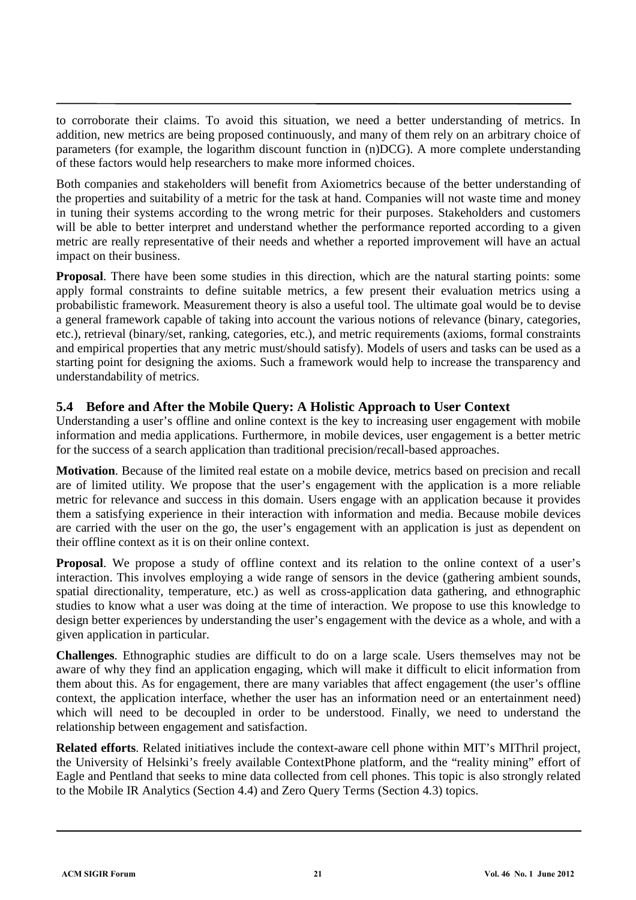to corroborate their claims. To avoid this situation, we need a better understanding of metrics. In addition, new metrics are being proposed continuously, and many of them rely on an arbitrary choice of parameters (for example, the logarithm discount function in (n)DCG). A more complete understanding of these factors would help researchers to make more informed choices.

Both companies and stakeholders will benefit from Axiometrics because of the better understanding of the properties and suitability of a metric for the task at hand. Companies will not waste time and money in tuning their systems according to the wrong metric for their purposes. Stakeholders and customers will be able to better interpret and understand whether the performance reported according to a given metric are really representative of their needs and whether a reported improvement will have an actual impact on their business.

**Proposal**. There have been some studies in this direction, which are the natural starting points: some apply formal constraints to define suitable metrics, a few present their evaluation metrics using a probabilistic framework. Measurement theory is also a useful tool. The ultimate goal would be to devise a general framework capable of taking into account the various notions of relevance (binary, categories, etc.), retrieval (binary/set, ranking, categories, etc.), and metric requirements (axioms, formal constraints and empirical properties that any metric must/should satisfy). Models of users and tasks can be used as a starting point for designing the axioms. Such a framework would help to increase the transparency and understandability of metrics.

# **5.4 Before and After the Mobile Query: A Holistic Approach to User Context**

Understanding a user's offline and online context is the key to increasing user engagement with mobile information and media applications. Furthermore, in mobile devices, user engagement is a better metric for the success of a search application than traditional precision/recall-based approaches.

**Motivation**. Because of the limited real estate on a mobile device, metrics based on precision and recall are of limited utility. We propose that the user's engagement with the application is a more reliable metric for relevance and success in this domain. Users engage with an application because it provides them a satisfying experience in their interaction with information and media. Because mobile devices are carried with the user on the go, the user's engagement with an application is just as dependent on their offline context as it is on their online context.

**Proposal**. We propose a study of offline context and its relation to the online context of a user's interaction. This involves employing a wide range of sensors in the device (gathering ambient sounds, spatial directionality, temperature, etc.) as well as cross-application data gathering, and ethnographic studies to know what a user was doing at the time of interaction. We propose to use this knowledge to design better experiences by understanding the user's engagement with the device as a whole, and with a given application in particular.

**Challenges**. Ethnographic studies are difficult to do on a large scale. Users themselves may not be aware of why they find an application engaging, which will make it difficult to elicit information from them about this. As for engagement, there are many variables that affect engagement (the user's offline context, the application interface, whether the user has an information need or an entertainment need) which will need to be decoupled in order to be understood. Finally, we need to understand the relationship between engagement and satisfaction.

**Related efforts**. Related initiatives include the context-aware cell phone within MIT's MIThril project, the University of Helsinki's freely available ContextPhone platform, and the "reality mining" effort of Eagle and Pentland that seeks to mine data collected from cell phones. This topic is also strongly related to the Mobile IR Analytics (Section 4.4) and Zero Query Terms (Section 4.3) topics.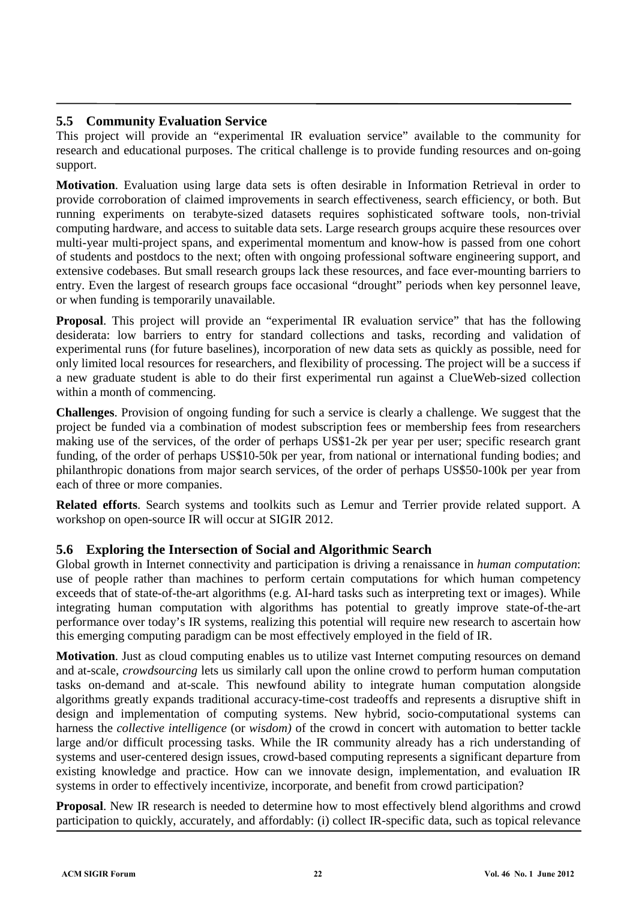# **5.5 Community Evaluation Service**

This project will provide an "experimental IR evaluation service" available to the community for research and educational purposes. The critical challenge is to provide funding resources and on-going support.

**Motivation**. Evaluation using large data sets is often desirable in Information Retrieval in order to provide corroboration of claimed improvements in search effectiveness, search efficiency, or both. But running experiments on terabyte-sized datasets requires sophisticated software tools, non-trivial computing hardware, and access to suitable data sets. Large research groups acquire these resources over multi-year multi-project spans, and experimental momentum and know-how is passed from one cohort of students and postdocs to the next; often with ongoing professional software engineering support, and extensive codebases. But small research groups lack these resources, and face ever-mounting barriers to entry. Even the largest of research groups face occasional "drought" periods when key personnel leave, or when funding is temporarily unavailable.

**Proposal**. This project will provide an "experimental IR evaluation service" that has the following desiderata: low barriers to entry for standard collections and tasks, recording and validation of experimental runs (for future baselines), incorporation of new data sets as quickly as possible, need for only limited local resources for researchers, and flexibility of processing. The project will be a success if a new graduate student is able to do their first experimental run against a ClueWeb-sized collection within a month of commencing.

**Challenges**. Provision of ongoing funding for such a service is clearly a challenge. We suggest that the project be funded via a combination of modest subscription fees or membership fees from researchers making use of the services, of the order of perhaps US\$1-2k per year per user; specific research grant funding, of the order of perhaps US\$10-50k per year, from national or international funding bodies; and philanthropic donations from major search services, of the order of perhaps US\$50-100k per year from each of three or more companies.

**Related efforts**. Search systems and toolkits such as Lemur and Terrier provide related support. A workshop on open-source IR will occur at SIGIR 2012.

# **5.6 Exploring the Intersection of Social and Algorithmic Search**

Global growth in Internet connectivity and participation is driving a renaissance in *human computation*: use of people rather than machines to perform certain computations for which human competency exceeds that of state-of-the-art algorithms (e.g. AI-hard tasks such as interpreting text or images). While integrating human computation with algorithms has potential to greatly improve state-of-the-art performance over today's IR systems, realizing this potential will require new research to ascertain how this emerging computing paradigm can be most effectively employed in the field of IR.

**Motivation**. Just as cloud computing enables us to utilize vast Internet computing resources on demand and at-scale, *crowdsourcing* lets us similarly call upon the online crowd to perform human computation tasks on-demand and at-scale. This newfound ability to integrate human computation alongside algorithms greatly expands traditional accuracy-time-cost tradeoffs and represents a disruptive shift in design and implementation of computing systems. New hybrid, socio-computational systems can harness the *collective intelligence* (or *wisdom)* of the crowd in concert with automation to better tackle large and/or difficult processing tasks. While the IR community already has a rich understanding of systems and user-centered design issues, crowd-based computing represents a significant departure from existing knowledge and practice. How can we innovate design, implementation, and evaluation IR systems in order to effectively incentivize, incorporate, and benefit from crowd participation?

**Proposal**. New IR research is needed to determine how to most effectively blend algorithms and crowd participation to quickly, accurately, and affordably: (i) collect IR-specific data, such as topical relevance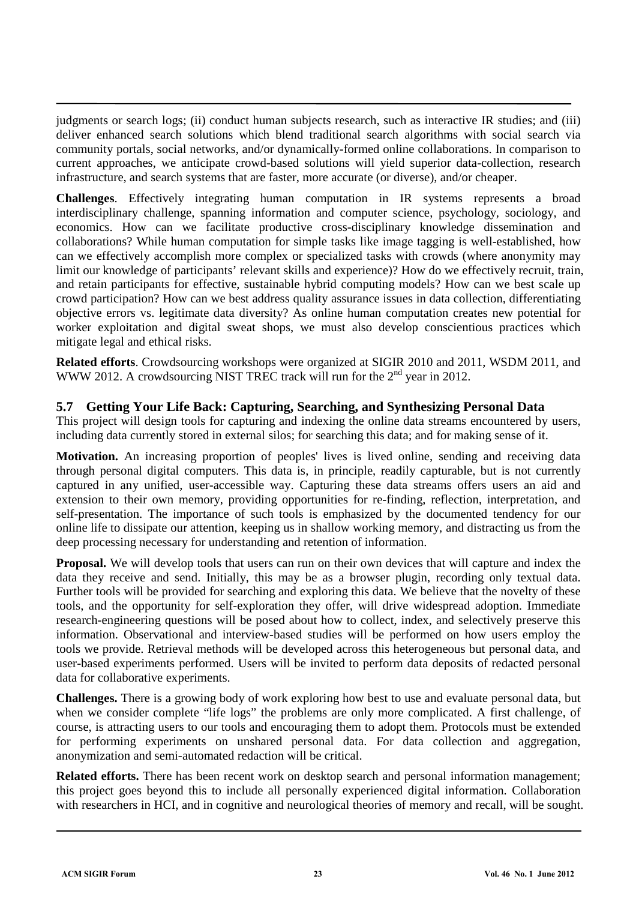judgments or search logs; (ii) conduct human subjects research, such as interactive IR studies; and (iii) deliver enhanced search solutions which blend traditional search algorithms with social search via community portals, social networks, and/or dynamically-formed online collaborations. In comparison to current approaches, we anticipate crowd-based solutions will yield superior data-collection, research infrastructure, and search systems that are faster, more accurate (or diverse), and/or cheaper.

**Challenges**. Effectively integrating human computation in IR systems represents a broad interdisciplinary challenge, spanning information and computer science, psychology, sociology, and economics. How can we facilitate productive cross-disciplinary knowledge dissemination and collaborations? While human computation for simple tasks like image tagging is well-established, how can we effectively accomplish more complex or specialized tasks with crowds (where anonymity may limit our knowledge of participants' relevant skills and experience)? How do we effectively recruit, train, and retain participants for effective, sustainable hybrid computing models? How can we best scale up crowd participation? How can we best address quality assurance issues in data collection, differentiating objective errors vs. legitimate data diversity? As online human computation creates new potential for worker exploitation and digital sweat shops, we must also develop conscientious practices which mitigate legal and ethical risks.

**Related efforts**. Crowdsourcing workshops were organized at SIGIR 2010 and 2011, WSDM 2011, and WWW 2012. A crowdsourcing NIST TREC track will run for the  $2<sup>nd</sup>$  year in 2012.

### **5.7 Getting Your Life Back: Capturing, Searching, and Synthesizing Personal Data**

This project will design tools for capturing and indexing the online data streams encountered by users, including data currently stored in external silos; for searching this data; and for making sense of it.

**Motivation.** An increasing proportion of peoples' lives is lived online, sending and receiving data through personal digital computers. This data is, in principle, readily capturable, but is not currently captured in any unified, user-accessible way. Capturing these data streams offers users an aid and extension to their own memory, providing opportunities for re-finding, reflection, interpretation, and self-presentation. The importance of such tools is emphasized by the documented tendency for our online life to dissipate our attention, keeping us in shallow working memory, and distracting us from the deep processing necessary for understanding and retention of information.

**Proposal.** We will develop tools that users can run on their own devices that will capture and index the data they receive and send. Initially, this may be as a browser plugin, recording only textual data. Further tools will be provided for searching and exploring this data. We believe that the novelty of these tools, and the opportunity for self-exploration they offer, will drive widespread adoption. Immediate research-engineering questions will be posed about how to collect, index, and selectively preserve this information. Observational and interview-based studies will be performed on how users employ the tools we provide. Retrieval methods will be developed across this heterogeneous but personal data, and user-based experiments performed. Users will be invited to perform data deposits of redacted personal data for collaborative experiments.

**Challenges.** There is a growing body of work exploring how best to use and evaluate personal data, but when we consider complete "life logs" the problems are only more complicated. A first challenge, of course, is attracting users to our tools and encouraging them to adopt them. Protocols must be extended for performing experiments on unshared personal data. For data collection and aggregation, anonymization and semi-automated redaction will be critical.

**Related efforts.** There has been recent work on desktop search and personal information management; this project goes beyond this to include all personally experienced digital information. Collaboration with researchers in HCI, and in cognitive and neurological theories of memory and recall, will be sought.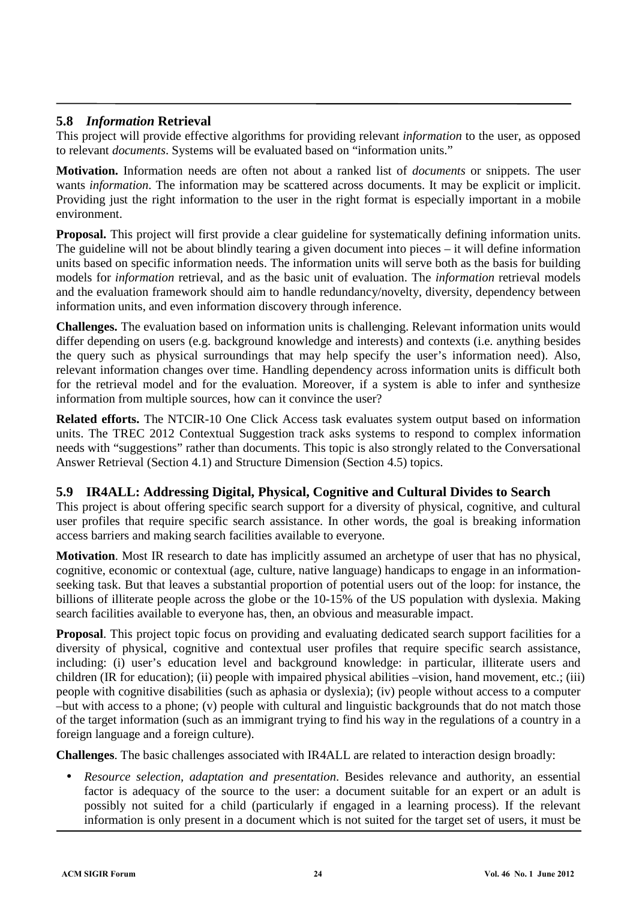# **5.8** *Information* **Retrieval**

This project will provide effective algorithms for providing relevant *information* to the user, as opposed to relevant *documents*. Systems will be evaluated based on "information units."

**Motivation.** Information needs are often not about a ranked list of *documents* or snippets. The user wants *information*. The information may be scattered across documents. It may be explicit or implicit. Providing just the right information to the user in the right format is especially important in a mobile environment.

**Proposal.** This project will first provide a clear guideline for systematically defining information units. The guideline will not be about blindly tearing a given document into pieces – it will define information units based on specific information needs. The information units will serve both as the basis for building models for *information* retrieval, and as the basic unit of evaluation. The *information* retrieval models and the evaluation framework should aim to handle redundancy/novelty, diversity, dependency between information units, and even information discovery through inference.

**Challenges.** The evaluation based on information units is challenging. Relevant information units would differ depending on users (e.g. background knowledge and interests) and contexts (i.e. anything besides the query such as physical surroundings that may help specify the user's information need). Also, relevant information changes over time. Handling dependency across information units is difficult both for the retrieval model and for the evaluation. Moreover, if a system is able to infer and synthesize information from multiple sources, how can it convince the user?

**Related efforts.** The NTCIR-10 One Click Access task evaluates system output based on information units. The TREC 2012 Contextual Suggestion track asks systems to respond to complex information needs with "suggestions" rather than documents. This topic is also strongly related to the Conversational Answer Retrieval (Section 4.1) and Structure Dimension (Section 4.5) topics.

# **5.9 IR4ALL: Addressing Digital, Physical, Cognitive and Cultural Divides to Search**

This project is about offering specific search support for a diversity of physical, cognitive, and cultural user profiles that require specific search assistance. In other words, the goal is breaking information access barriers and making search facilities available to everyone.

**Motivation**. Most IR research to date has implicitly assumed an archetype of user that has no physical, cognitive, economic or contextual (age, culture, native language) handicaps to engage in an informationseeking task. But that leaves a substantial proportion of potential users out of the loop: for instance, the billions of illiterate people across the globe or the 10-15% of the US population with dyslexia. Making search facilities available to everyone has, then, an obvious and measurable impact.

**Proposal**. This project topic focus on providing and evaluating dedicated search support facilities for a diversity of physical, cognitive and contextual user profiles that require specific search assistance, including: (i) user's education level and background knowledge: in particular, illiterate users and children (IR for education); (ii) people with impaired physical abilities –vision, hand movement, etc.; (iii) people with cognitive disabilities (such as aphasia or dyslexia); (iv) people without access to a computer –but with access to a phone; (v) people with cultural and linguistic backgrounds that do not match those of the target information (such as an immigrant trying to find his way in the regulations of a country in a foreign language and a foreign culture).

**Challenges**. The basic challenges associated with IR4ALL are related to interaction design broadly:

• *Resource selection, adaptation and presentation*. Besides relevance and authority, an essential factor is adequacy of the source to the user: a document suitable for an expert or an adult is possibly not suited for a child (particularly if engaged in a learning process). If the relevant information is only present in a document which is not suited for the target set of users, it must be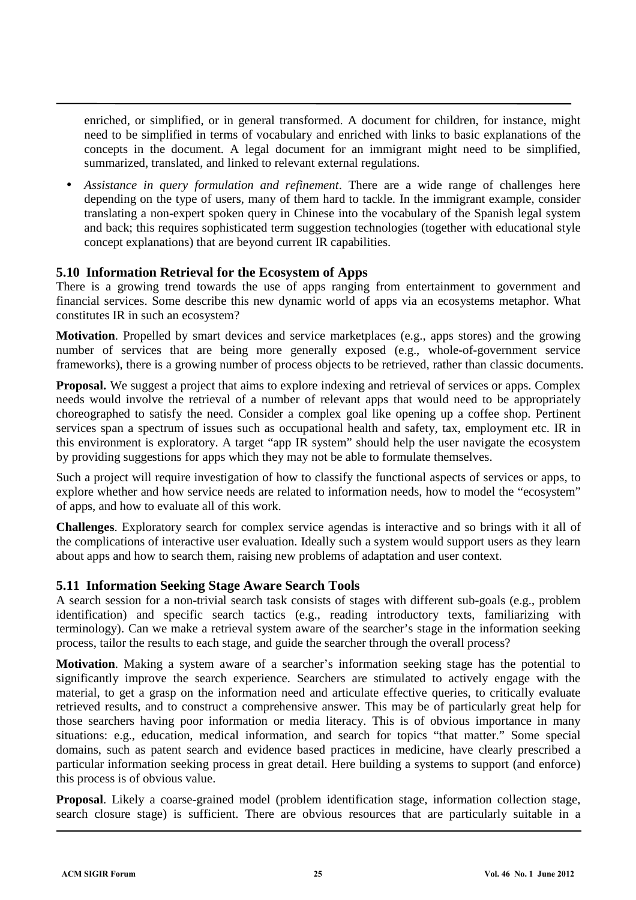enriched, or simplified, or in general transformed. A document for children, for instance, might need to be simplified in terms of vocabulary and enriched with links to basic explanations of the concepts in the document. A legal document for an immigrant might need to be simplified, summarized, translated, and linked to relevant external regulations.

• *Assistance in query formulation and refinement*. There are a wide range of challenges here depending on the type of users, many of them hard to tackle. In the immigrant example, consider translating a non-expert spoken query in Chinese into the vocabulary of the Spanish legal system and back; this requires sophisticated term suggestion technologies (together with educational style concept explanations) that are beyond current IR capabilities.

# **5.10 Information Retrieval for the Ecosystem of Apps**

There is a growing trend towards the use of apps ranging from entertainment to government and financial services. Some describe this new dynamic world of apps via an ecosystems metaphor. What constitutes IR in such an ecosystem?

**Motivation**. Propelled by smart devices and service marketplaces (e.g., apps stores) and the growing number of services that are being more generally exposed (e.g., whole-of-government service frameworks), there is a growing number of process objects to be retrieved, rather than classic documents.

**Proposal.** We suggest a project that aims to explore indexing and retrieval of services or apps. Complex needs would involve the retrieval of a number of relevant apps that would need to be appropriately choreographed to satisfy the need. Consider a complex goal like opening up a coffee shop. Pertinent services span a spectrum of issues such as occupational health and safety, tax, employment etc. IR in this environment is exploratory. A target "app IR system" should help the user navigate the ecosystem by providing suggestions for apps which they may not be able to formulate themselves.

Such a project will require investigation of how to classify the functional aspects of services or apps, to explore whether and how service needs are related to information needs, how to model the "ecosystem" of apps, and how to evaluate all of this work.

**Challenges**. Exploratory search for complex service agendas is interactive and so brings with it all of the complications of interactive user evaluation. Ideally such a system would support users as they learn about apps and how to search them, raising new problems of adaptation and user context.

# **5.11 Information Seeking Stage Aware Search Tools**

A search session for a non-trivial search task consists of stages with different sub-goals (e.g., problem identification) and specific search tactics (e.g., reading introductory texts, familiarizing with terminology). Can we make a retrieval system aware of the searcher's stage in the information seeking process, tailor the results to each stage, and guide the searcher through the overall process?

**Motivation**. Making a system aware of a searcher's information seeking stage has the potential to significantly improve the search experience. Searchers are stimulated to actively engage with the material, to get a grasp on the information need and articulate effective queries, to critically evaluate retrieved results, and to construct a comprehensive answer. This may be of particularly great help for those searchers having poor information or media literacy. This is of obvious importance in many situations: e.g., education, medical information, and search for topics "that matter." Some special domains, such as patent search and evidence based practices in medicine, have clearly prescribed a particular information seeking process in great detail. Here building a systems to support (and enforce) this process is of obvious value.

**Proposal**. Likely a coarse-grained model (problem identification stage, information collection stage, search closure stage) is sufficient. There are obvious resources that are particularly suitable in a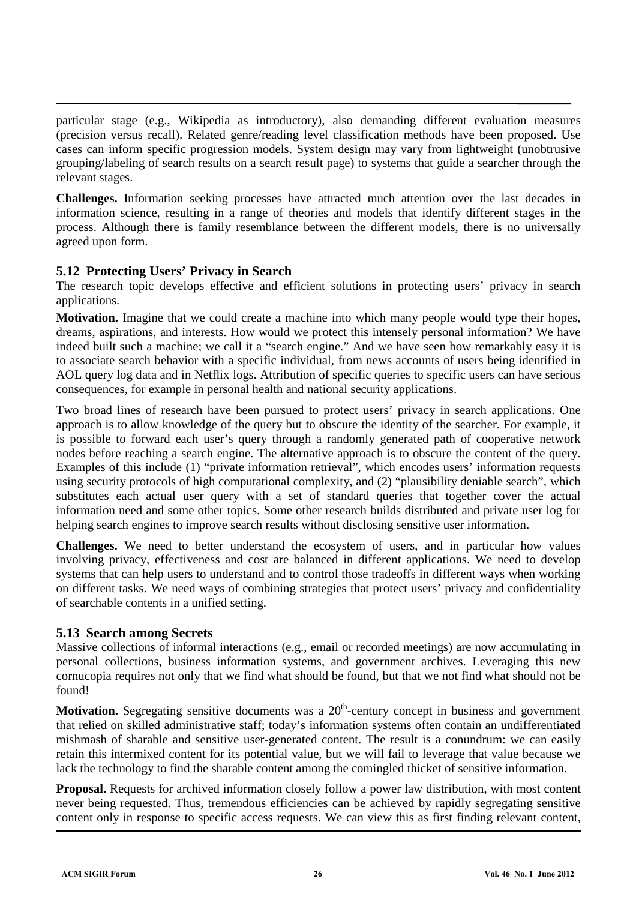particular stage (e.g., Wikipedia as introductory), also demanding different evaluation measures (precision versus recall). Related genre/reading level classification methods have been proposed. Use cases can inform specific progression models. System design may vary from lightweight (unobtrusive grouping/labeling of search results on a search result page) to systems that guide a searcher through the relevant stages.

**Challenges.** Information seeking processes have attracted much attention over the last decades in information science, resulting in a range of theories and models that identify different stages in the process. Although there is family resemblance between the different models, there is no universally agreed upon form.

# **5.12 Protecting Users' Privacy in Search**

The research topic develops effective and efficient solutions in protecting users' privacy in search applications.

**Motivation.** Imagine that we could create a machine into which many people would type their hopes, dreams, aspirations, and interests. How would we protect this intensely personal information? We have indeed built such a machine; we call it a "search engine." And we have seen how remarkably easy it is to associate search behavior with a specific individual, from news accounts of users being identified in AOL query log data and in Netflix logs. Attribution of specific queries to specific users can have serious consequences, for example in personal health and national security applications.

Two broad lines of research have been pursued to protect users' privacy in search applications. One approach is to allow knowledge of the query but to obscure the identity of the searcher. For example, it is possible to forward each user's query through a randomly generated path of cooperative network nodes before reaching a search engine. The alternative approach is to obscure the content of the query. Examples of this include (1) "private information retrieval", which encodes users' information requests using security protocols of high computational complexity, and (2) "plausibility deniable search", which substitutes each actual user query with a set of standard queries that together cover the actual information need and some other topics. Some other research builds distributed and private user log for helping search engines to improve search results without disclosing sensitive user information.

**Challenges.** We need to better understand the ecosystem of users, and in particular how values involving privacy, effectiveness and cost are balanced in different applications. We need to develop systems that can help users to understand and to control those tradeoffs in different ways when working on different tasks. We need ways of combining strategies that protect users' privacy and confidentiality of searchable contents in a unified setting.

# **5.13 Search among Secrets**

Massive collections of informal interactions (e.g., email or recorded meetings) are now accumulating in personal collections, business information systems, and government archives. Leveraging this new cornucopia requires not only that we find what should be found, but that we not find what should not be found!

**Motivation.** Segregating sensitive documents was a 20<sup>th</sup>-century concept in business and government that relied on skilled administrative staff; today's information systems often contain an undifferentiated mishmash of sharable and sensitive user-generated content. The result is a conundrum: we can easily retain this intermixed content for its potential value, but we will fail to leverage that value because we lack the technology to find the sharable content among the comingled thicket of sensitive information.

**Proposal.** Requests for archived information closely follow a power law distribution, with most content never being requested. Thus, tremendous efficiencies can be achieved by rapidly segregating sensitive content only in response to specific access requests. We can view this as first finding relevant content,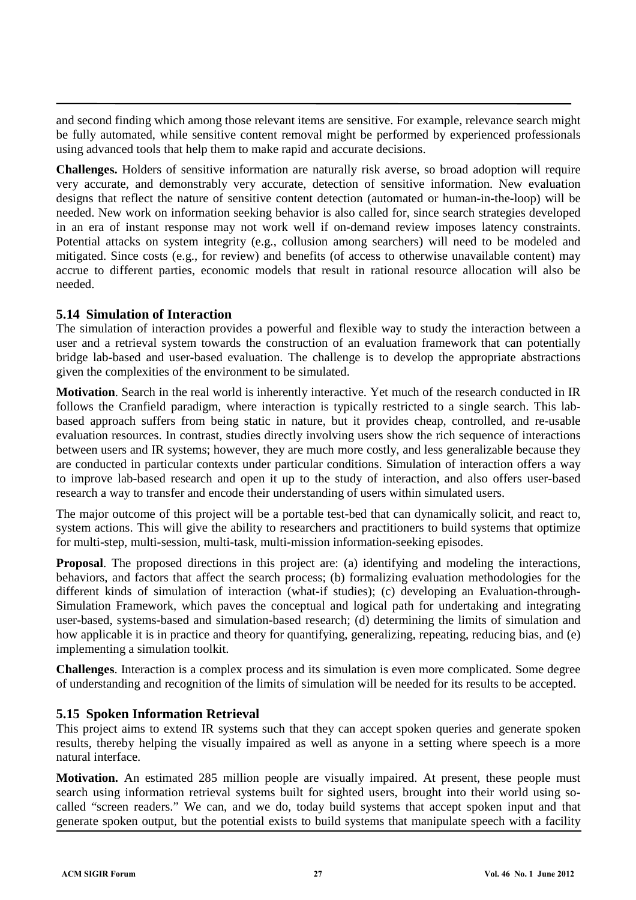and second finding which among those relevant items are sensitive. For example, relevance search might be fully automated, while sensitive content removal might be performed by experienced professionals using advanced tools that help them to make rapid and accurate decisions.

**Challenges.** Holders of sensitive information are naturally risk averse, so broad adoption will require very accurate, and demonstrably very accurate, detection of sensitive information. New evaluation designs that reflect the nature of sensitive content detection (automated or human-in-the-loop) will be needed. New work on information seeking behavior is also called for, since search strategies developed in an era of instant response may not work well if on-demand review imposes latency constraints. Potential attacks on system integrity (e.g., collusion among searchers) will need to be modeled and mitigated. Since costs (e.g., for review) and benefits (of access to otherwise unavailable content) may accrue to different parties, economic models that result in rational resource allocation will also be needed.

### **5.14 Simulation of Interaction**

The simulation of interaction provides a powerful and flexible way to study the interaction between a user and a retrieval system towards the construction of an evaluation framework that can potentially bridge lab-based and user-based evaluation. The challenge is to develop the appropriate abstractions given the complexities of the environment to be simulated.

**Motivation**. Search in the real world is inherently interactive. Yet much of the research conducted in IR follows the Cranfield paradigm, where interaction is typically restricted to a single search. This labbased approach suffers from being static in nature, but it provides cheap, controlled, and re-usable evaluation resources. In contrast, studies directly involving users show the rich sequence of interactions between users and IR systems; however, they are much more costly, and less generalizable because they are conducted in particular contexts under particular conditions. Simulation of interaction offers a way to improve lab-based research and open it up to the study of interaction, and also offers user-based research a way to transfer and encode their understanding of users within simulated users.

The major outcome of this project will be a portable test-bed that can dynamically solicit, and react to, system actions. This will give the ability to researchers and practitioners to build systems that optimize for multi-step, multi-session, multi-task, multi-mission information-seeking episodes.

**Proposal**. The proposed directions in this project are: (a) identifying and modeling the interactions, behaviors, and factors that affect the search process; (b) formalizing evaluation methodologies for the different kinds of simulation of interaction (what-if studies); (c) developing an Evaluation-through-Simulation Framework, which paves the conceptual and logical path for undertaking and integrating user-based, systems-based and simulation-based research; (d) determining the limits of simulation and how applicable it is in practice and theory for quantifying, generalizing, repeating, reducing bias, and (e) implementing a simulation toolkit.

**Challenges**. Interaction is a complex process and its simulation is even more complicated. Some degree of understanding and recognition of the limits of simulation will be needed for its results to be accepted.

# **5.15 Spoken Information Retrieval**

This project aims to extend IR systems such that they can accept spoken queries and generate spoken results, thereby helping the visually impaired as well as anyone in a setting where speech is a more natural interface.

**Motivation.** An estimated 285 million people are visually impaired. At present, these people must search using information retrieval systems built for sighted users, brought into their world using socalled "screen readers." We can, and we do, today build systems that accept spoken input and that generate spoken output, but the potential exists to build systems that manipulate speech with a facility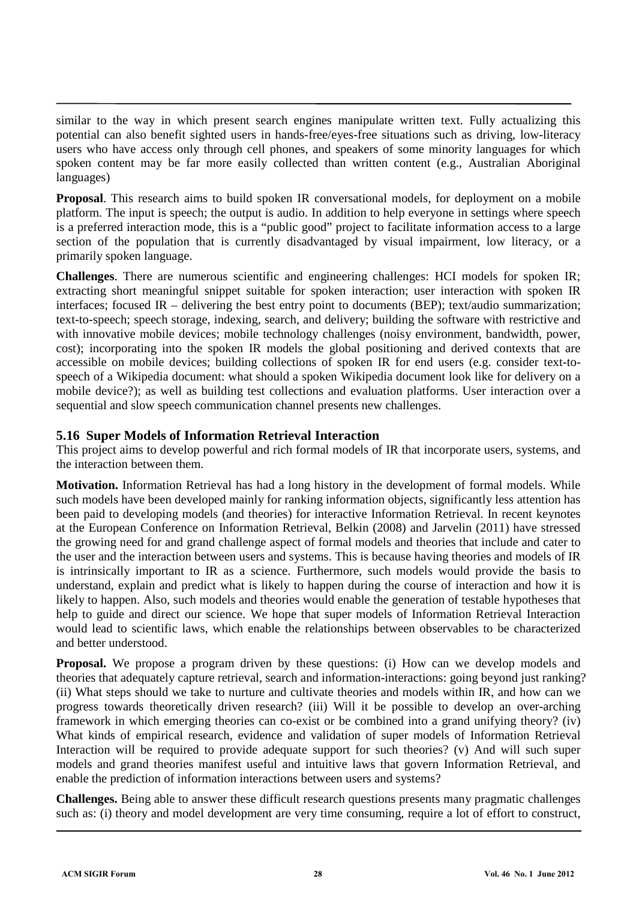similar to the way in which present search engines manipulate written text. Fully actualizing this potential can also benefit sighted users in hands-free/eyes-free situations such as driving, low-literacy users who have access only through cell phones, and speakers of some minority languages for which spoken content may be far more easily collected than written content (e.g., Australian Aboriginal languages)

**Proposal**. This research aims to build spoken IR conversational models, for deployment on a mobile platform. The input is speech; the output is audio. In addition to help everyone in settings where speech is a preferred interaction mode, this is a "public good" project to facilitate information access to a large section of the population that is currently disadvantaged by visual impairment, low literacy, or a primarily spoken language.

**Challenges**. There are numerous scientific and engineering challenges: HCI models for spoken IR; extracting short meaningful snippet suitable for spoken interaction; user interaction with spoken IR interfaces; focused IR – delivering the best entry point to documents (BEP); text/audio summarization; text-to-speech; speech storage, indexing, search, and delivery; building the software with restrictive and with innovative mobile devices; mobile technology challenges (noisy environment, bandwidth, power, cost); incorporating into the spoken IR models the global positioning and derived contexts that are accessible on mobile devices; building collections of spoken IR for end users (e.g. consider text-tospeech of a Wikipedia document: what should a spoken Wikipedia document look like for delivery on a mobile device?); as well as building test collections and evaluation platforms. User interaction over a sequential and slow speech communication channel presents new challenges.

# **5.16 Super Models of Information Retrieval Interaction**

This project aims to develop powerful and rich formal models of IR that incorporate users, systems, and the interaction between them.

**Motivation.** Information Retrieval has had a long history in the development of formal models. While such models have been developed mainly for ranking information objects, significantly less attention has been paid to developing models (and theories) for interactive Information Retrieval. In recent keynotes at the European Conference on Information Retrieval, Belkin (2008) and Jarvelin (2011) have stressed the growing need for and grand challenge aspect of formal models and theories that include and cater to the user and the interaction between users and systems. This is because having theories and models of IR is intrinsically important to IR as a science. Furthermore, such models would provide the basis to understand, explain and predict what is likely to happen during the course of interaction and how it is likely to happen. Also, such models and theories would enable the generation of testable hypotheses that help to guide and direct our science. We hope that super models of Information Retrieval Interaction would lead to scientific laws, which enable the relationships between observables to be characterized and better understood.

**Proposal.** We propose a program driven by these questions: (i) How can we develop models and theories that adequately capture retrieval, search and information-interactions: going beyond just ranking? (ii) What steps should we take to nurture and cultivate theories and models within IR, and how can we progress towards theoretically driven research? (iii) Will it be possible to develop an over-arching framework in which emerging theories can co-exist or be combined into a grand unifying theory? (iv) What kinds of empirical research, evidence and validation of super models of Information Retrieval Interaction will be required to provide adequate support for such theories? (v) And will such super models and grand theories manifest useful and intuitive laws that govern Information Retrieval, and enable the prediction of information interactions between users and systems?

**Challenges.** Being able to answer these difficult research questions presents many pragmatic challenges such as: (i) theory and model development are very time consuming, require a lot of effort to construct,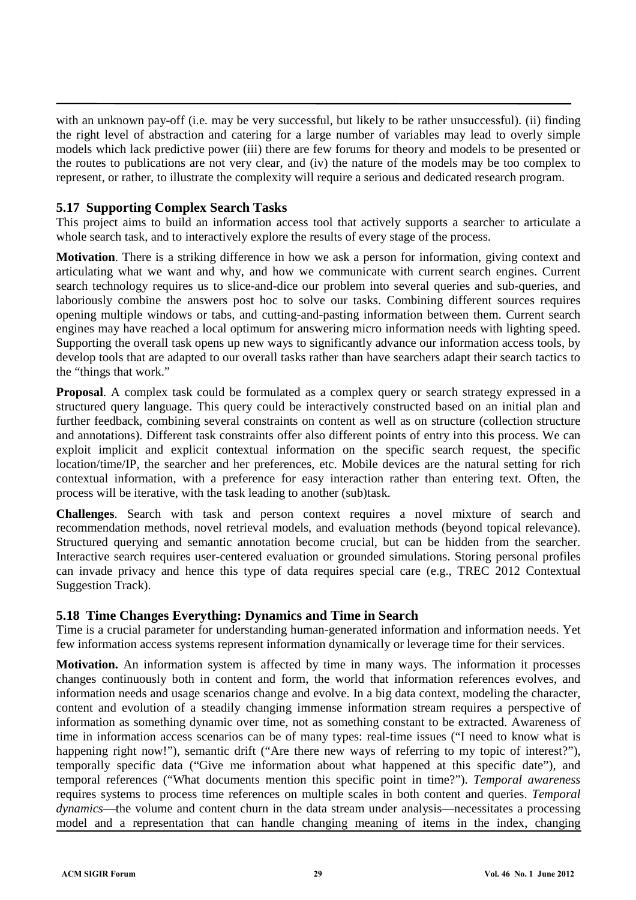with an unknown pay-off (i.e. may be very successful, but likely to be rather unsuccessful). (ii) finding the right level of abstraction and catering for a large number of variables may lead to overly simple models which lack predictive power (iii) there are few forums for theory and models to be presented or the routes to publications are not very clear, and (iv) the nature of the models may be too complex to represent, or rather, to illustrate the complexity will require a serious and dedicated research program.

# **5.17 Supporting Complex Search Tasks**

This project aims to build an information access tool that actively supports a searcher to articulate a whole search task, and to interactively explore the results of every stage of the process.

**Motivation**. There is a striking difference in how we ask a person for information, giving context and articulating what we want and why, and how we communicate with current search engines. Current search technology requires us to slice-and-dice our problem into several queries and sub-queries, and laboriously combine the answers post hoc to solve our tasks. Combining different sources requires opening multiple windows or tabs, and cutting-and-pasting information between them. Current search engines may have reached a local optimum for answering micro information needs with lighting speed. Supporting the overall task opens up new ways to significantly advance our information access tools, by develop tools that are adapted to our overall tasks rather than have searchers adapt their search tactics to the "things that work."

**Proposal**. A complex task could be formulated as a complex query or search strategy expressed in a structured query language. This query could be interactively constructed based on an initial plan and further feedback, combining several constraints on content as well as on structure (collection structure and annotations). Different task constraints offer also different points of entry into this process. We can exploit implicit and explicit contextual information on the specific search request, the specific location/time/IP, the searcher and her preferences, etc. Mobile devices are the natural setting for rich contextual information, with a preference for easy interaction rather than entering text. Often, the process will be iterative, with the task leading to another (sub)task.

**Challenges**. Search with task and person context requires a novel mixture of search and recommendation methods, novel retrieval models, and evaluation methods (beyond topical relevance). Structured querying and semantic annotation become crucial, but can be hidden from the searcher. Interactive search requires user-centered evaluation or grounded simulations. Storing personal profiles can invade privacy and hence this type of data requires special care (e.g., TREC 2012 Contextual Suggestion Track).

# **5.18 Time Changes Everything: Dynamics and Time in Search**

Time is a crucial parameter for understanding human-generated information and information needs. Yet few information access systems represent information dynamically or leverage time for their services.

**Motivation.** An information system is affected by time in many ways. The information it processes changes continuously both in content and form, the world that information references evolves, and information needs and usage scenarios change and evolve. In a big data context, modeling the character, content and evolution of a steadily changing immense information stream requires a perspective of information as something dynamic over time, not as something constant to be extracted. Awareness of time in information access scenarios can be of many types: real-time issues ("I need to know what is happening right now!"), semantic drift ("Are there new ways of referring to my topic of interest?"), temporally specific data ("Give me information about what happened at this specific date"), and temporal references ("What documents mention this specific point in time?"). *Temporal awareness* requires systems to process time references on multiple scales in both content and queries. *Temporal dynamics*—the volume and content churn in the data stream under analysis—necessitates a processing model and a representation that can handle changing meaning of items in the index, changing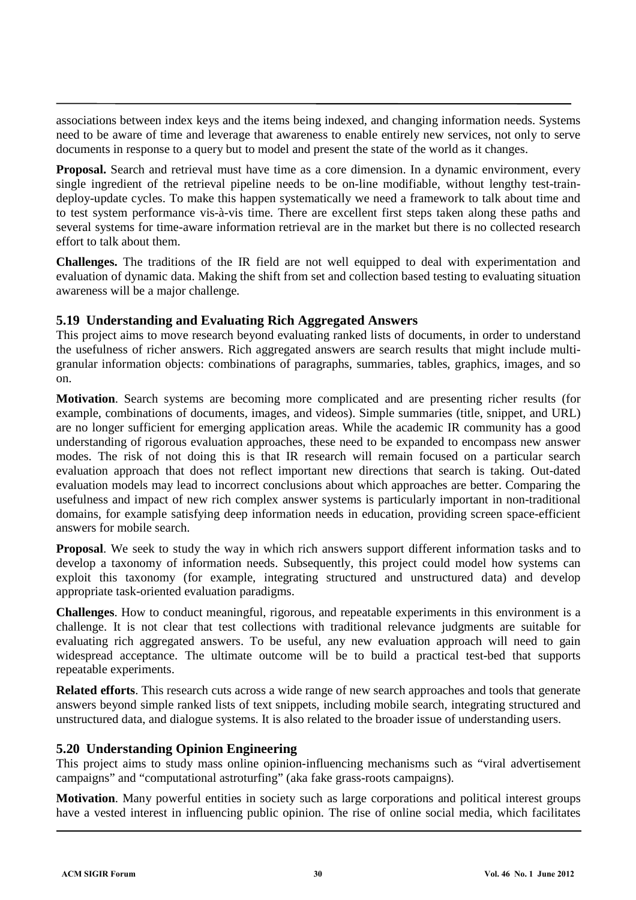associations between index keys and the items being indexed, and changing information needs. Systems need to be aware of time and leverage that awareness to enable entirely new services, not only to serve documents in response to a query but to model and present the state of the world as it changes.

**Proposal.** Search and retrieval must have time as a core dimension. In a dynamic environment, every single ingredient of the retrieval pipeline needs to be on-line modifiable, without lengthy test-traindeploy-update cycles. To make this happen systematically we need a framework to talk about time and to test system performance vis-à-vis time. There are excellent first steps taken along these paths and several systems for time-aware information retrieval are in the market but there is no collected research effort to talk about them.

**Challenges.** The traditions of the IR field are not well equipped to deal with experimentation and evaluation of dynamic data. Making the shift from set and collection based testing to evaluating situation awareness will be a major challenge.

# **5.19 Understanding and Evaluating Rich Aggregated Answers**

This project aims to move research beyond evaluating ranked lists of documents, in order to understand the usefulness of richer answers. Rich aggregated answers are search results that might include multigranular information objects: combinations of paragraphs, summaries, tables, graphics, images, and so on.

**Motivation**. Search systems are becoming more complicated and are presenting richer results (for example, combinations of documents, images, and videos). Simple summaries (title, snippet, and URL) are no longer sufficient for emerging application areas. While the academic IR community has a good understanding of rigorous evaluation approaches, these need to be expanded to encompass new answer modes. The risk of not doing this is that IR research will remain focused on a particular search evaluation approach that does not reflect important new directions that search is taking. Out-dated evaluation models may lead to incorrect conclusions about which approaches are better. Comparing the usefulness and impact of new rich complex answer systems is particularly important in non-traditional domains, for example satisfying deep information needs in education, providing screen space-efficient answers for mobile search.

**Proposal**. We seek to study the way in which rich answers support different information tasks and to develop a taxonomy of information needs. Subsequently, this project could model how systems can exploit this taxonomy (for example, integrating structured and unstructured data) and develop appropriate task-oriented evaluation paradigms.

**Challenges**. How to conduct meaningful, rigorous, and repeatable experiments in this environment is a challenge. It is not clear that test collections with traditional relevance judgments are suitable for evaluating rich aggregated answers. To be useful, any new evaluation approach will need to gain widespread acceptance. The ultimate outcome will be to build a practical test-bed that supports repeatable experiments.

**Related efforts**. This research cuts across a wide range of new search approaches and tools that generate answers beyond simple ranked lists of text snippets, including mobile search, integrating structured and unstructured data, and dialogue systems. It is also related to the broader issue of understanding users.

# **5.20 Understanding Opinion Engineering**

This project aims to study mass online opinion-influencing mechanisms such as "viral advertisement campaigns" and "computational astroturfing" (aka fake grass-roots campaigns).

**Motivation**. Many powerful entities in society such as large corporations and political interest groups have a vested interest in influencing public opinion. The rise of online social media, which facilitates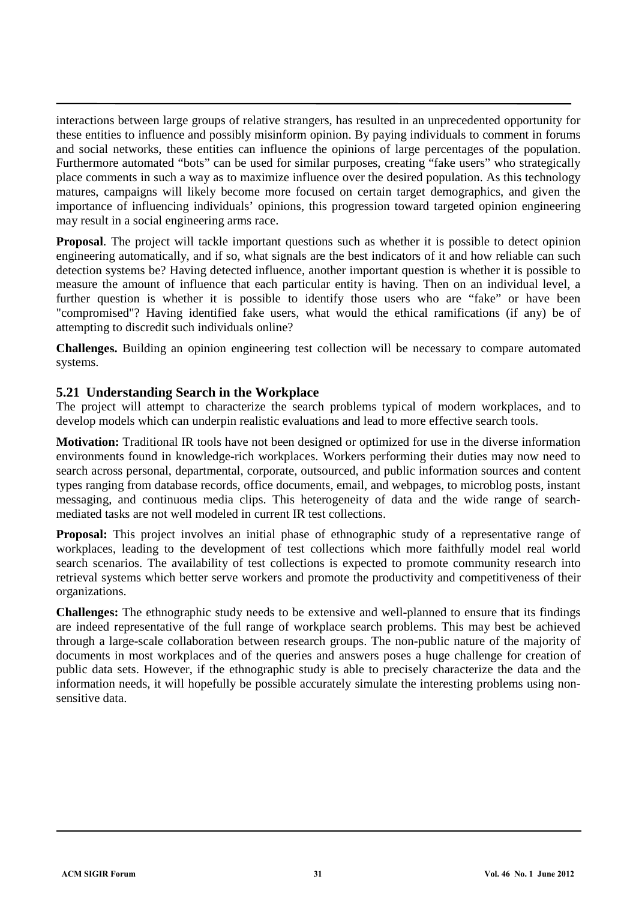interactions between large groups of relative strangers, has resulted in an unprecedented opportunity for these entities to influence and possibly misinform opinion. By paying individuals to comment in forums and social networks, these entities can influence the opinions of large percentages of the population. Furthermore automated "bots" can be used for similar purposes, creating "fake users" who strategically place comments in such a way as to maximize influence over the desired population. As this technology matures, campaigns will likely become more focused on certain target demographics, and given the importance of influencing individuals' opinions, this progression toward targeted opinion engineering may result in a social engineering arms race.

**Proposal.** The project will tackle important questions such as whether it is possible to detect opinion engineering automatically, and if so, what signals are the best indicators of it and how reliable can such detection systems be? Having detected influence, another important question is whether it is possible to measure the amount of influence that each particular entity is having. Then on an individual level, a further question is whether it is possible to identify those users who are "fake" or have been "compromised"? Having identified fake users, what would the ethical ramifications (if any) be of attempting to discredit such individuals online?

**Challenges.** Building an opinion engineering test collection will be necessary to compare automated systems.

# **5.21 Understanding Search in the Workplace**

The project will attempt to characterize the search problems typical of modern workplaces, and to develop models which can underpin realistic evaluations and lead to more effective search tools.

**Motivation:** Traditional IR tools have not been designed or optimized for use in the diverse information environments found in knowledge-rich workplaces. Workers performing their duties may now need to search across personal, departmental, corporate, outsourced, and public information sources and content types ranging from database records, office documents, email, and webpages, to microblog posts, instant messaging, and continuous media clips. This heterogeneity of data and the wide range of searchmediated tasks are not well modeled in current IR test collections.

**Proposal:** This project involves an initial phase of ethnographic study of a representative range of workplaces, leading to the development of test collections which more faithfully model real world search scenarios. The availability of test collections is expected to promote community research into retrieval systems which better serve workers and promote the productivity and competitiveness of their organizations.

**Challenges:** The ethnographic study needs to be extensive and well-planned to ensure that its findings are indeed representative of the full range of workplace search problems. This may best be achieved through a large-scale collaboration between research groups. The non-public nature of the majority of documents in most workplaces and of the queries and answers poses a huge challenge for creation of public data sets. However, if the ethnographic study is able to precisely characterize the data and the information needs, it will hopefully be possible accurately simulate the interesting problems using nonsensitive data.